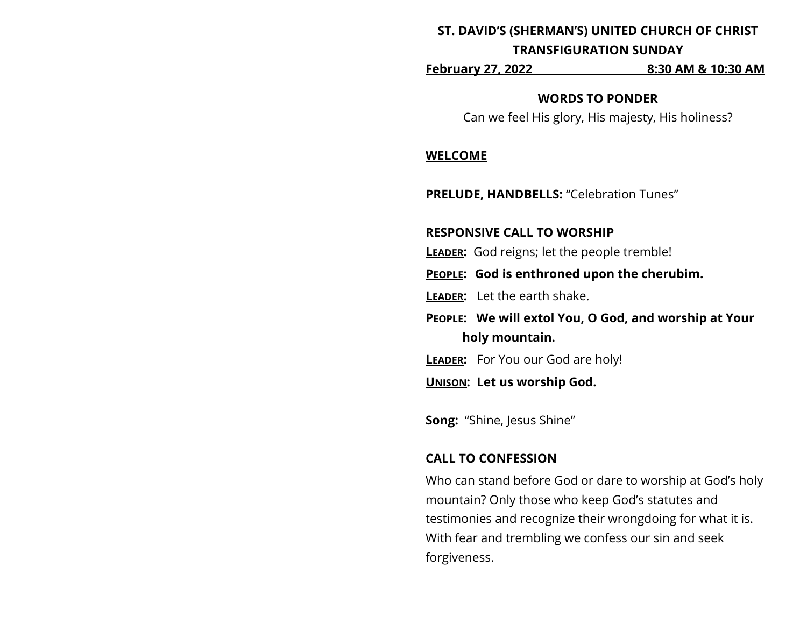# **ST. DAVID'S (SHERMAN'S) UNITED CHURCH OF CHRIST TRANSFIGURATION SUNDAY**

**February 27, 2022 8:30 AM & 10:30 AM**

#### **WORDS TO PONDER**

Can we feel His glory, His majesty, His holiness?

#### **WELCOME**

**PRELUDE, HANDBELLS:** "Celebration Tunes"

#### **RESPONSIVE CALL TO WORSHIP**

**LEADER:** God reigns; let the people tremble!

**PEOPLE: God is enthroned upon the cherubim.**

- **LEADER:** Let the earth shake.
- **PEOPLE: We will extol You, O God, and worship at Your holy mountain.**
- **LEADER:** For You our God are holy!
- **UNISON: Let us worship God.**

**Song:** "Shine, Jesus Shine"

## **CALL TO CONFESSION**

Who can stand before God or dare to worship at God's holy mountain? Only those who keep God's statutes and testimonies and recognize their wrongdoing for what it is. With fear and trembling we confess our sin and seek forgiveness.